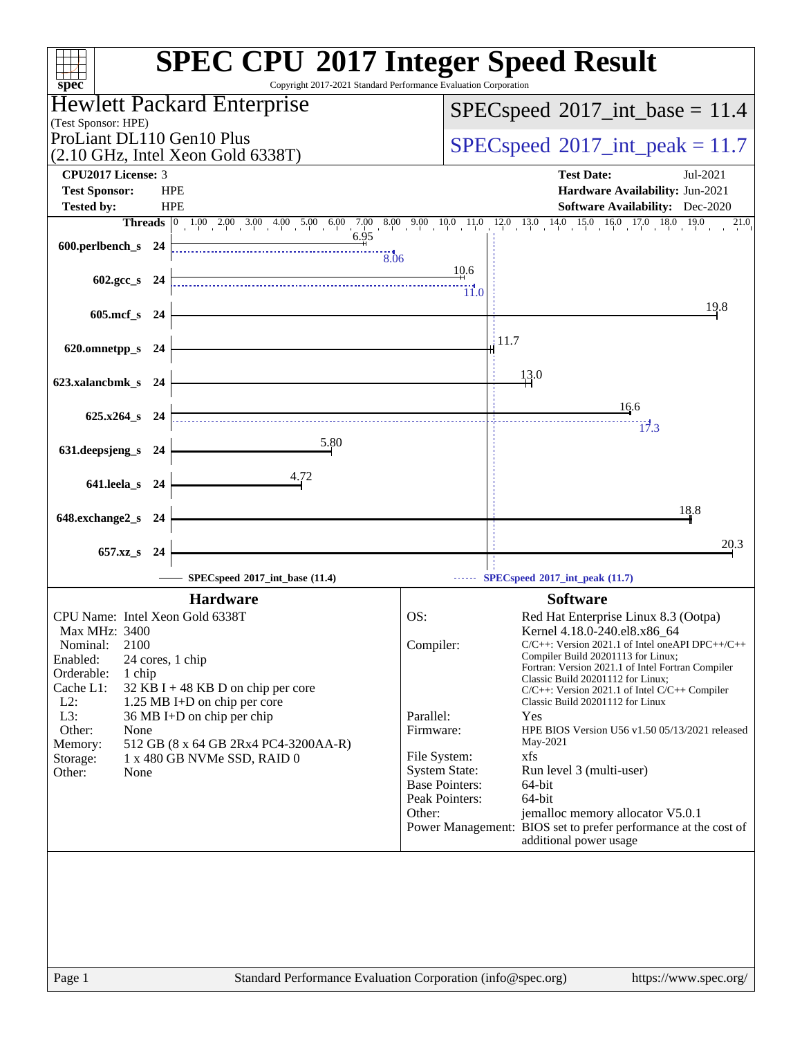| $spec^*$                                                                  | <b>SPEC CPU®2017 Integer Speed Result</b><br>Copyright 2017-2021 Standard Performance Evaluation Corporation |
|---------------------------------------------------------------------------|--------------------------------------------------------------------------------------------------------------|
| Hewlett Packard Enterprise                                                | $SPEC speed^{\circ}2017\_int\_base = 11.4$                                                                   |
| (Test Sponsor: HPE)<br>ProLiant DL110 Gen10 Plus                          |                                                                                                              |
| $(2.10 \text{ GHz}, \text{Intel Xeon Gold } 6338 \text{T})$               | $SPEC speed^{\circ}2017\_int\_peak = 11.7$                                                                   |
| CPU2017 License: 3                                                        | <b>Test Date:</b><br>Jul-2021                                                                                |
| <b>Test Sponsor:</b><br><b>HPE</b>                                        | Hardware Availability: Jun-2021                                                                              |
| <b>HPE</b><br><b>Tested by:</b>                                           | <b>Software Availability:</b> Dec-2020<br>21.0                                                               |
| 600.perlbench_s 24                                                        |                                                                                                              |
|                                                                           | $\frac{1}{8.06}$                                                                                             |
| $602.\text{gcc}\_\text{s}$ 24                                             | $\frac{10.6}{2}$                                                                                             |
|                                                                           | $\frac{111}{11.0}$<br>19.8                                                                                   |
| 605.mcf_s 24                                                              |                                                                                                              |
| 620.omnetpp_s 24                                                          | $\frac{11.7}{2}$                                                                                             |
|                                                                           |                                                                                                              |
| 623.xalancbmk_s 24                                                        | 13.0                                                                                                         |
|                                                                           | 16.6                                                                                                         |
| 625.x264_s 24                                                             | 17.3                                                                                                         |
| 5.80<br>631.deepsjeng_s 24                                                |                                                                                                              |
| 4.72                                                                      |                                                                                                              |
| 641.leela_s 24                                                            |                                                                                                              |
| 648.exchange2_s 24                                                        | 18.8                                                                                                         |
|                                                                           |                                                                                                              |
| 657.xz_s 24                                                               | 20.3                                                                                                         |
| SPECspeed*2017_int_base (11.4)                                            | $\cdots$ SPECspeed <sup>®</sup> 2017_int_peak (11.7)                                                         |
| <b>Hardware</b>                                                           | <b>Software</b>                                                                                              |
| CPU Name: Intel Xeon Gold 6338T                                           | OS:<br>Red Hat Enterprise Linux 8.3 (Ootpa)                                                                  |
| Max MHz: 3400<br>2100<br>Nominal:                                         | Kernel 4.18.0-240.el8.x86_64<br>Compiler:<br>$C/C++$ : Version 2021.1 of Intel one API DPC++/C++             |
| Enabled:<br>24 cores, 1 chip                                              | Compiler Build 20201113 for Linux;<br>Fortran: Version 2021.1 of Intel Fortran Compiler                      |
| Orderable:<br>1 chip<br>Cache L1:<br>$32$ KB I + 48 KB D on chip per core | Classic Build 20201112 for Linux;<br>$C/C++$ : Version 2021.1 of Intel $C/C++$ Compiler                      |
| $L2$ :<br>1.25 MB I+D on chip per core                                    | Classic Build 20201112 for Linux                                                                             |
| L3:<br>36 MB I+D on chip per chip                                         | Parallel:<br>Yes<br>HPE BIOS Version U56 v1.50 05/13/2021 released                                           |
| Other:<br>None<br>Memory:<br>512 GB (8 x 64 GB 2Rx4 PC4-3200AA-R)         | Firmware:<br>May-2021                                                                                        |
| Storage:<br>1 x 480 GB NVMe SSD, RAID 0                                   | File System:<br>xfs                                                                                          |
| Other:<br>None                                                            | <b>System State:</b><br>Run level 3 (multi-user)<br><b>Base Pointers:</b><br>64-bit                          |
|                                                                           | Peak Pointers:<br>64-bit                                                                                     |
|                                                                           | Other:<br>jemalloc memory allocator V5.0.1                                                                   |
|                                                                           | Power Management: BIOS set to prefer performance at the cost of<br>additional power usage                    |
|                                                                           |                                                                                                              |
| Page 1                                                                    | Standard Performance Evaluation Corporation (info@spec.org)<br>https://www.spec.org/                         |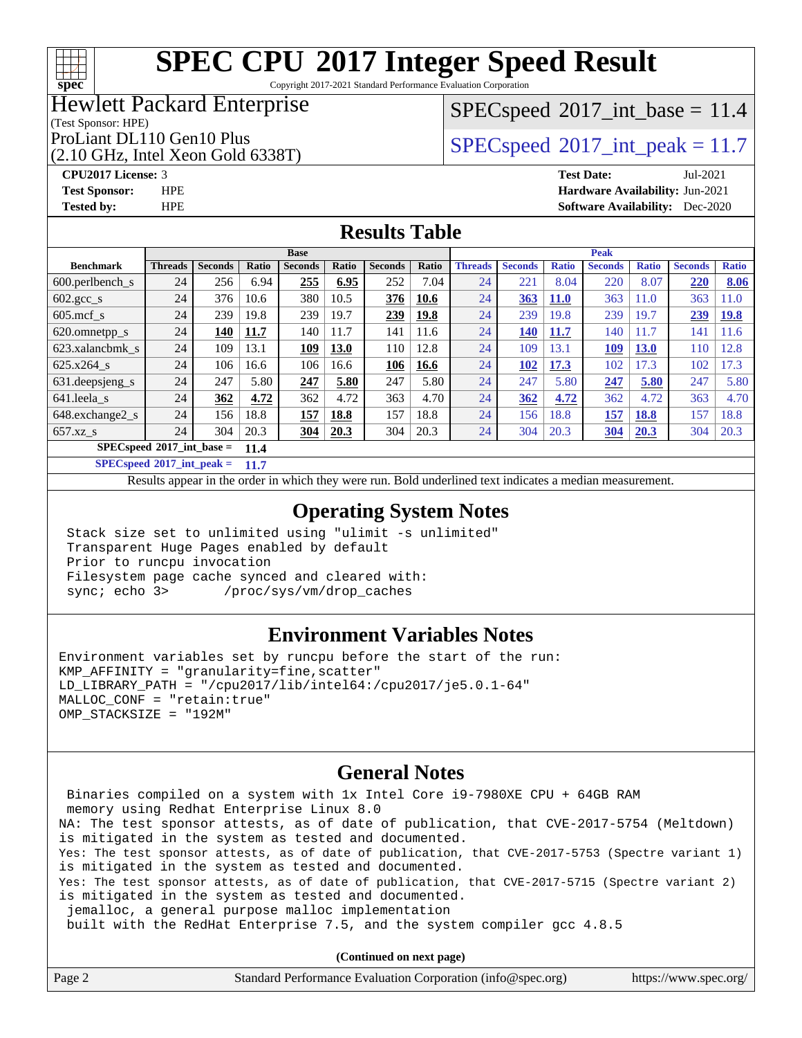### $+\ +$ **[spec](http://www.spec.org/)**

# **[SPEC CPU](http://www.spec.org/auto/cpu2017/Docs/result-fields.html#SPECCPU2017IntegerSpeedResult)[2017 Integer Speed Result](http://www.spec.org/auto/cpu2017/Docs/result-fields.html#SPECCPU2017IntegerSpeedResult)**

Copyright 2017-2021 Standard Performance Evaluation Corporation

### Hewlett Packard Enterprise

### $SPECspeed^{\circledcirc}2017\_int\_base = 11.4$  $SPECspeed^{\circledcirc}2017\_int\_base = 11.4$

(Test Sponsor: HPE)

(2.10 GHz, Intel Xeon Gold 6338T)

ProLiant DL110 Gen10 Plus  $SPEC speed@2017$ \_int\_peak = 11.7

**[CPU2017 License:](http://www.spec.org/auto/cpu2017/Docs/result-fields.html#CPU2017License)** 3 **[Test Date:](http://www.spec.org/auto/cpu2017/Docs/result-fields.html#TestDate)** Jul-2021

**[Test Sponsor:](http://www.spec.org/auto/cpu2017/Docs/result-fields.html#TestSponsor)** HPE **[Hardware Availability:](http://www.spec.org/auto/cpu2017/Docs/result-fields.html#HardwareAvailability)** Jun-2021 **[Tested by:](http://www.spec.org/auto/cpu2017/Docs/result-fields.html#Testedby)** HPE **[Software Availability:](http://www.spec.org/auto/cpu2017/Docs/result-fields.html#SoftwareAvailability)** Dec-2020

### **[Results Table](http://www.spec.org/auto/cpu2017/Docs/result-fields.html#ResultsTable)**

|                             |                |                |       | <b>Base</b>    |       |                |       |                |                |              | <b>Peak</b>    |              |                |              |
|-----------------------------|----------------|----------------|-------|----------------|-------|----------------|-------|----------------|----------------|--------------|----------------|--------------|----------------|--------------|
| <b>Benchmark</b>            | <b>Threads</b> | <b>Seconds</b> | Ratio | <b>Seconds</b> | Ratio | <b>Seconds</b> | Ratio | <b>Threads</b> | <b>Seconds</b> | <b>Ratio</b> | <b>Seconds</b> | <b>Ratio</b> | <b>Seconds</b> | <b>Ratio</b> |
| 600.perlbench s             | 24             | 256            | 6.94  | 255            | 6.95  | 252            | 7.04  | 24             | 221            | 8.04         | 220            | 8.07         | 220            | 8.06         |
| $602.\text{gcc}\_\text{s}$  | 24             | 376            | 10.6  | 380            | 10.5  | 376            | 10.6  | 24             | 363            | <b>11.0</b>  | 363            | 11.0         | 363            | 1.0          |
| $605$ .mcf s                | 24             | 239            | 19.8  | 239            | 19.7  | 239            | 19.8  | 24             | 239            | 19.8         | 239            | 19.7         | 239            | <b>19.8</b>  |
| 620.omnetpp_s               | 24             | 140            | 11.7  | 140            | 11.7  | 141            | 11.6  | 24             | 140            | 11.7         | 140            | 11.7         | 141            | 11.6         |
| 623.xalancbmk s             | 24             | 109            | 13.1  | 109            | 13.0  | 110            | 12.8  | 24             | 109            | 13.1         | 109            | <b>13.0</b>  | 110            | 12.8         |
| 625.x264 s                  | 24             | 106            | 16.6  | 106            | 16.6  | 106            | 16.6  | 24             | 102            | 17.3         | 102            | 17.3         | 102            | 17.3         |
| 631.deepsjeng_s             | 24             | 247            | 5.80  | 247            | 5.80  | 247            | 5.80  | 24             | 247            | 5.80         | 247            | 5.80         | 247            | 5.80         |
| 641.leela s                 | 24             | 362            | 4.72  | 362            | 4.72  | 363            | 4.70  | 24             | 362            | 4.72         | 362            | 4.72         | 363            | 4.70         |
| 648.exchange2_s             | 24             | 156            | 18.8  | 157            | 18.8  | 157            | 18.8  | 24             | 156            | 18.8         | 157            | 18.8         | 157            | 18.8         |
| $657.xz$ s                  | 24             | 304            | 20.3  | 304            | 20.3  | 304            | 20.3  | 24             | 304            | 20.3         | 304            | 20.3         | 304            | 20.3         |
| $SPECspeed*2017$ int base = |                |                | 11.4  |                |       |                |       |                |                |              |                |              |                |              |

**[SPECspeed](http://www.spec.org/auto/cpu2017/Docs/result-fields.html#SPECspeed2017intpeak)[2017\\_int\\_peak =](http://www.spec.org/auto/cpu2017/Docs/result-fields.html#SPECspeed2017intpeak) 11.7**

Results appear in the [order in which they were run.](http://www.spec.org/auto/cpu2017/Docs/result-fields.html#RunOrder) Bold underlined text [indicates a median measurement](http://www.spec.org/auto/cpu2017/Docs/result-fields.html#Median).

### **[Operating System Notes](http://www.spec.org/auto/cpu2017/Docs/result-fields.html#OperatingSystemNotes)**

 Stack size set to unlimited using "ulimit -s unlimited" Transparent Huge Pages enabled by default Prior to runcpu invocation Filesystem page cache synced and cleared with: sync; echo 3> /proc/sys/vm/drop\_caches

### **[Environment Variables Notes](http://www.spec.org/auto/cpu2017/Docs/result-fields.html#EnvironmentVariablesNotes)**

Environment variables set by runcpu before the start of the run: KMP\_AFFINITY = "granularity=fine,scatter" LD\_LIBRARY\_PATH = "/cpu2017/lib/intel64:/cpu2017/je5.0.1-64" MALLOC\_CONF = "retain:true" OMP\_STACKSIZE = "192M"

### **[General Notes](http://www.spec.org/auto/cpu2017/Docs/result-fields.html#GeneralNotes)**

 Binaries compiled on a system with 1x Intel Core i9-7980XE CPU + 64GB RAM memory using Redhat Enterprise Linux 8.0 NA: The test sponsor attests, as of date of publication, that CVE-2017-5754 (Meltdown) is mitigated in the system as tested and documented. Yes: The test sponsor attests, as of date of publication, that CVE-2017-5753 (Spectre variant 1) is mitigated in the system as tested and documented. Yes: The test sponsor attests, as of date of publication, that CVE-2017-5715 (Spectre variant 2) is mitigated in the system as tested and documented. jemalloc, a general purpose malloc implementation built with the RedHat Enterprise 7.5, and the system compiler gcc 4.8.5

**(Continued on next page)**

| Page 2<br>Standard Performance Evaluation Corporation (info@spec.org) | https://www.spec.org/ |
|-----------------------------------------------------------------------|-----------------------|
|-----------------------------------------------------------------------|-----------------------|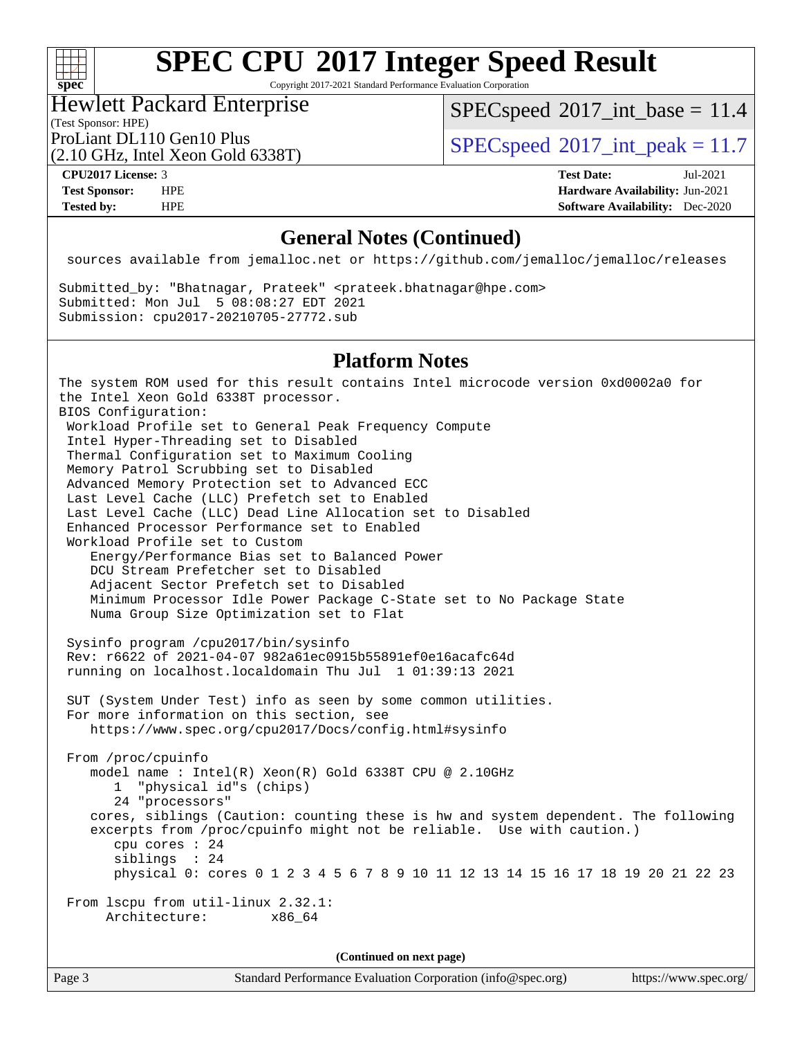### $+\!\!+\!\!$ **[spec](http://www.spec.org/)**

# **[SPEC CPU](http://www.spec.org/auto/cpu2017/Docs/result-fields.html#SPECCPU2017IntegerSpeedResult)[2017 Integer Speed Result](http://www.spec.org/auto/cpu2017/Docs/result-fields.html#SPECCPU2017IntegerSpeedResult)**

Copyright 2017-2021 Standard Performance Evaluation Corporation

## Hewlett Packard Enterprise

 $SPECspeed^{\circ}2017\_int\_base = 11.4$  $SPECspeed^{\circ}2017\_int\_base = 11.4$ 

(Test Sponsor: HPE)

(2.10 GHz, Intel Xeon Gold 6338T)

ProLiant DL110 Gen10 Plus  $\vert$  [SPECspeed](http://www.spec.org/auto/cpu2017/Docs/result-fields.html#SPECspeed2017intpeak)®[2017\\_int\\_peak = 1](http://www.spec.org/auto/cpu2017/Docs/result-fields.html#SPECspeed2017intpeak)1.7

**[CPU2017 License:](http://www.spec.org/auto/cpu2017/Docs/result-fields.html#CPU2017License)** 3 **[Test Date:](http://www.spec.org/auto/cpu2017/Docs/result-fields.html#TestDate)** Jul-2021 **[Test Sponsor:](http://www.spec.org/auto/cpu2017/Docs/result-fields.html#TestSponsor)** HPE **[Hardware Availability:](http://www.spec.org/auto/cpu2017/Docs/result-fields.html#HardwareAvailability)** Jun-2021 **[Tested by:](http://www.spec.org/auto/cpu2017/Docs/result-fields.html#Testedby)** HPE **[Software Availability:](http://www.spec.org/auto/cpu2017/Docs/result-fields.html#SoftwareAvailability)** Dec-2020

### **[General Notes \(Continued\)](http://www.spec.org/auto/cpu2017/Docs/result-fields.html#GeneralNotes)**

sources available from jemalloc.net or <https://github.com/jemalloc/jemalloc/releases>

Submitted\_by: "Bhatnagar, Prateek" <prateek.bhatnagar@hpe.com> Submitted: Mon Jul 5 08:08:27 EDT 2021 Submission: cpu2017-20210705-27772.sub

### **[Platform Notes](http://www.spec.org/auto/cpu2017/Docs/result-fields.html#PlatformNotes)**

The system ROM used for this result contains Intel microcode version 0xd0002a0 for the Intel Xeon Gold 6338T processor. BIOS Configuration: Workload Profile set to General Peak Frequency Compute Intel Hyper-Threading set to Disabled Thermal Configuration set to Maximum Cooling Memory Patrol Scrubbing set to Disabled Advanced Memory Protection set to Advanced ECC Last Level Cache (LLC) Prefetch set to Enabled Last Level Cache (LLC) Dead Line Allocation set to Disabled Enhanced Processor Performance set to Enabled Workload Profile set to Custom Energy/Performance Bias set to Balanced Power DCU Stream Prefetcher set to Disabled Adjacent Sector Prefetch set to Disabled Minimum Processor Idle Power Package C-State set to No Package State Numa Group Size Optimization set to Flat Sysinfo program /cpu2017/bin/sysinfo Rev: r6622 of 2021-04-07 982a61ec0915b55891ef0e16acafc64d running on localhost.localdomain Thu Jul 1 01:39:13 2021 SUT (System Under Test) info as seen by some common utilities. For more information on this section, see <https://www.spec.org/cpu2017/Docs/config.html#sysinfo> From /proc/cpuinfo model name : Intel(R) Xeon(R) Gold 6338T CPU @ 2.10GHz 1 "physical id"s (chips) 24 "processors" cores, siblings (Caution: counting these is hw and system dependent. The following excerpts from /proc/cpuinfo might not be reliable. Use with caution.) cpu cores : 24 siblings : 24 physical 0: cores 0 1 2 3 4 5 6 7 8 9 10 11 12 13 14 15 16 17 18 19 20 21 22 23 From lscpu from util-linux 2.32.1: Architecture: x86\_64

**(Continued on next page)**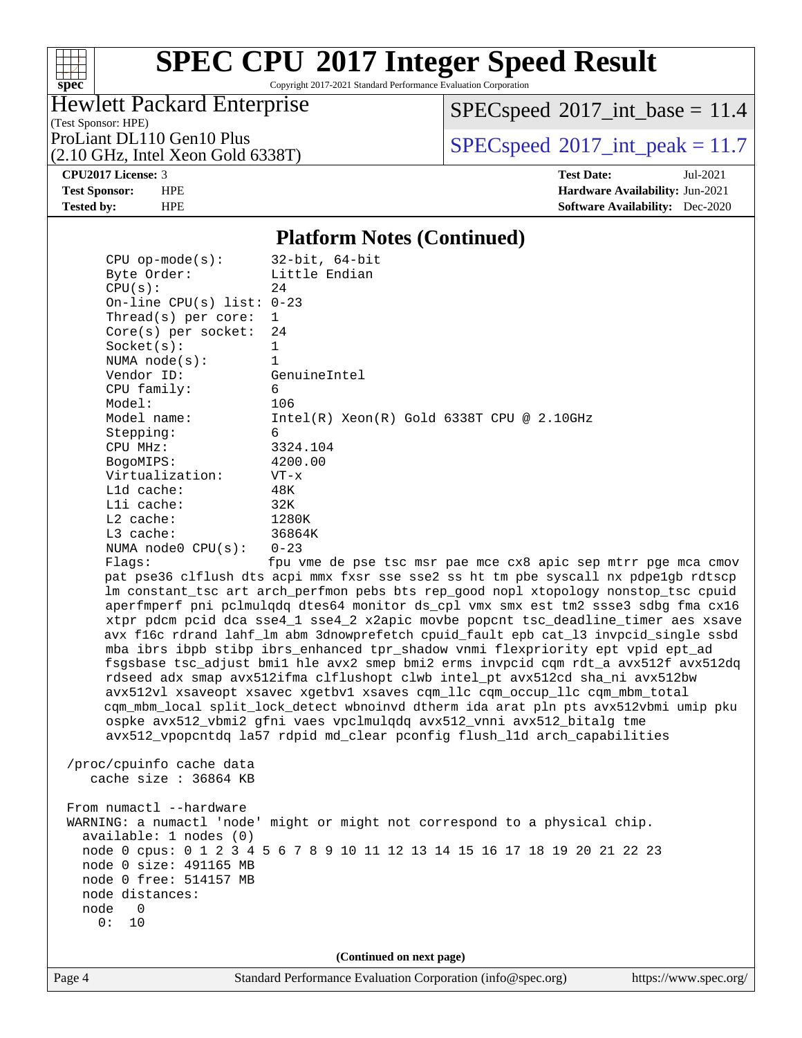

Copyright 2017-2021 Standard Performance Evaluation Corporation

### Hewlett Packard Enterprise

 $SPEC speed$ <sup>®</sup> $2017$ \_int\_base = 11.4

(Test Sponsor: HPE)

(2.10 GHz, Intel Xeon Gold 6338T)

ProLiant DL110 Gen10 Plus  $\begin{array}{c} \text{SPEC speed} \textcirc 2017\_int\_peak = 11.7 \\ \text{SPEC speed} \textcirc 2017\_int\_peak = 11.7 \end{array}$ 

**[CPU2017 License:](http://www.spec.org/auto/cpu2017/Docs/result-fields.html#CPU2017License)** 3 **[Test Date:](http://www.spec.org/auto/cpu2017/Docs/result-fields.html#TestDate)** Jul-2021 **[Test Sponsor:](http://www.spec.org/auto/cpu2017/Docs/result-fields.html#TestSponsor)** HPE **[Hardware Availability:](http://www.spec.org/auto/cpu2017/Docs/result-fields.html#HardwareAvailability)** Jun-2021 **[Tested by:](http://www.spec.org/auto/cpu2017/Docs/result-fields.html#Testedby)** HPE **[Software Availability:](http://www.spec.org/auto/cpu2017/Docs/result-fields.html#SoftwareAvailability)** Dec-2020

### **[Platform Notes \(Continued\)](http://www.spec.org/auto/cpu2017/Docs/result-fields.html#PlatformNotes)**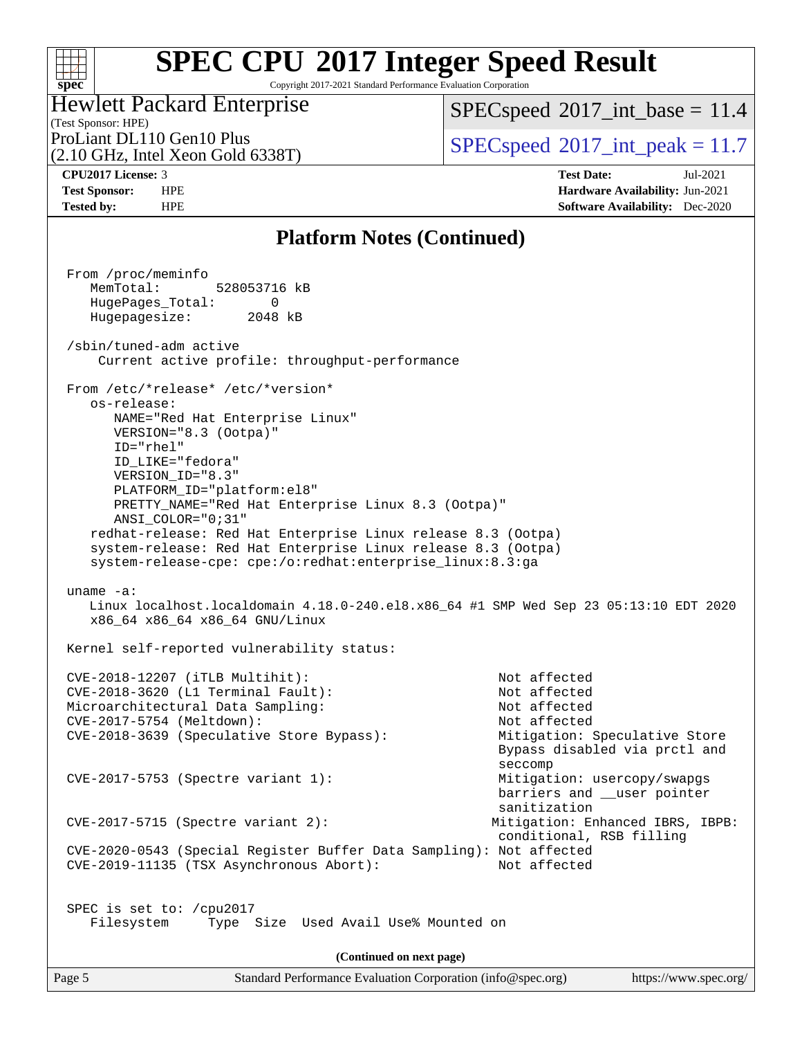### $+\ +$ **[spec](http://www.spec.org/)**

# **[SPEC CPU](http://www.spec.org/auto/cpu2017/Docs/result-fields.html#SPECCPU2017IntegerSpeedResult)[2017 Integer Speed Result](http://www.spec.org/auto/cpu2017/Docs/result-fields.html#SPECCPU2017IntegerSpeedResult)**

Copyright 2017-2021 Standard Performance Evaluation Corporation

#### (Test Sponsor: HPE) Hewlett Packard Enterprise

 $SPEC speed$ <sup>®</sup> $2017$ \_int\_base = 11.4

(2.10 GHz, Intel Xeon Gold 6338T)

ProLiant DL110 Gen10 Plus  $\begin{array}{c} \text{SPEC speed} \text{\textdegree}2017\_int\_peak = 11.7 \\ \text{SPEC speed} \text{\textdegree}2017\_int\_peak = 11.7 \end{array}$ 

**[CPU2017 License:](http://www.spec.org/auto/cpu2017/Docs/result-fields.html#CPU2017License)** 3 **[Test Date:](http://www.spec.org/auto/cpu2017/Docs/result-fields.html#TestDate)** Jul-2021 **[Test Sponsor:](http://www.spec.org/auto/cpu2017/Docs/result-fields.html#TestSponsor)** HPE **[Hardware Availability:](http://www.spec.org/auto/cpu2017/Docs/result-fields.html#HardwareAvailability)** Jun-2021 **[Tested by:](http://www.spec.org/auto/cpu2017/Docs/result-fields.html#Testedby)** HPE **[Software Availability:](http://www.spec.org/auto/cpu2017/Docs/result-fields.html#SoftwareAvailability)** Dec-2020

### **[Platform Notes \(Continued\)](http://www.spec.org/auto/cpu2017/Docs/result-fields.html#PlatformNotes)**

| From /proc/meminfo<br>MemTotal: 528053716 kB<br>HugePages_Total: 0<br>Hugepagesize: 2048 kB                                                                                                                                                                                                                                                                                                                                                                              |                                                                                                                                                                          |
|--------------------------------------------------------------------------------------------------------------------------------------------------------------------------------------------------------------------------------------------------------------------------------------------------------------------------------------------------------------------------------------------------------------------------------------------------------------------------|--------------------------------------------------------------------------------------------------------------------------------------------------------------------------|
| /sbin/tuned-adm active<br>Current active profile: throughput-performance                                                                                                                                                                                                                                                                                                                                                                                                 |                                                                                                                                                                          |
| From /etc/*release* /etc/*version*<br>os-release:<br>NAME="Red Hat Enterprise Linux"<br>VERSION="8.3 (Ootpa)"<br>ID="rhel"<br>ID_LIKE="fedora"<br>VERSION_ID="8.3"<br>PLATFORM_ID="platform:el8"<br>PRETTY_NAME="Red Hat Enterprise Linux 8.3 (Ootpa)"<br>ANSI_COLOR="0;31"<br>redhat-release: Red Hat Enterprise Linux release 8.3 (Ootpa)<br>system-release: Red Hat Enterprise Linux release 8.3 (Ootpa)<br>system-release-cpe: cpe:/o:redhat:enterprise_linux:8.3:ga |                                                                                                                                                                          |
| $uname -a$ :<br>Linux localhost.localdomain 4.18.0-240.el8.x86_64 #1 SMP Wed Sep 23 05:13:10 EDT 2020<br>x86_64 x86_64 x86_64 GNU/Linux                                                                                                                                                                                                                                                                                                                                  |                                                                                                                                                                          |
| Kernel self-reported vulnerability status:                                                                                                                                                                                                                                                                                                                                                                                                                               |                                                                                                                                                                          |
| CVE-2018-12207 (iTLB Multihit):<br>CVE-2018-3620 (L1 Terminal Fault):<br>Microarchitectural Data Sampling:<br>CVE-2017-5754 (Meltdown):<br>CVE-2018-3639 (Speculative Store Bypass):<br>CVE-2017-5753 (Spectre variant 1):                                                                                                                                                                                                                                               | Not affected<br>Not affected<br>Not affected<br>Not affected<br>Mitigation: Speculative Store<br>Bypass disabled via prctl and<br>seccomp<br>Mitigation: usercopy/swapgs |
| $CVE-2017-5715$ (Spectre variant 2):                                                                                                                                                                                                                                                                                                                                                                                                                                     | barriers and __user pointer<br>sanitization<br>Mitigation: Enhanced IBRS, IBPB:                                                                                          |
| CVE-2020-0543 (Special Register Buffer Data Sampling): Not affected<br>CVE-2019-11135 (TSX Asynchronous Abort):                                                                                                                                                                                                                                                                                                                                                          | conditional, RSB filling<br>Not affected                                                                                                                                 |
| SPEC is set to: /cpu2017<br>Filesystem<br>Type Size Used Avail Use% Mounted on                                                                                                                                                                                                                                                                                                                                                                                           |                                                                                                                                                                          |
| (Continued on next page)                                                                                                                                                                                                                                                                                                                                                                                                                                                 |                                                                                                                                                                          |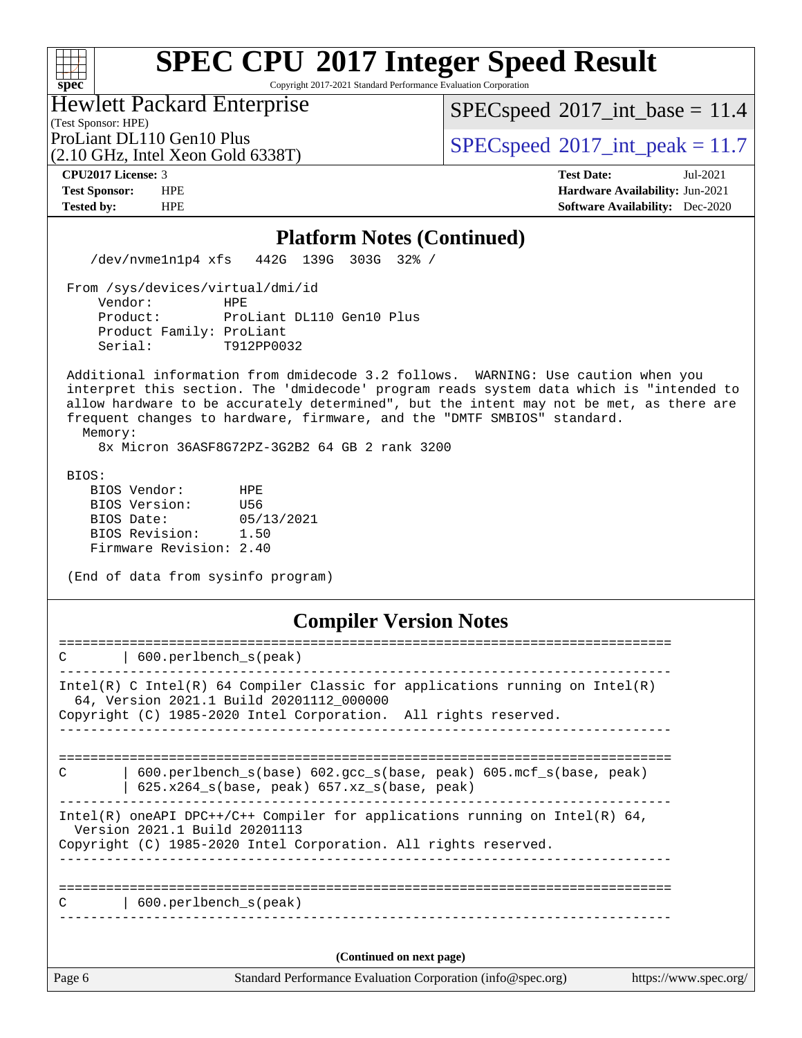Copyright 2017-2021 Standard Performance Evaluation Corporation

| <b>Hewlett Packard Enterprise</b>                                                               |  |
|-------------------------------------------------------------------------------------------------|--|
| (Test Sponsor: HPE)                                                                             |  |
| $\text{D}_{\text{tot}}$ iont $\text{DI}$ 110 $\text{C}_{\text{tot}}$ 10 $\text{D}_{\text{inc}}$ |  |

(2.10 GHz, Intel Xeon Gold 6338T)

 $SPEC speed$ <sup>®</sup> $2017$ \_int\_base = 11.4

ProLiant DL110 Gen10 Plus  $\begin{array}{c} | \text{SPEC speed} \textdegree 2017\_int\_peak = 11.7 \\ \end{array}$ 

**[spec](http://www.spec.org/)**

 $+\!\!+\!\!$ 

**[CPU2017 License:](http://www.spec.org/auto/cpu2017/Docs/result-fields.html#CPU2017License)** 3 **[Test Date:](http://www.spec.org/auto/cpu2017/Docs/result-fields.html#TestDate)** Jul-2021 **[Test Sponsor:](http://www.spec.org/auto/cpu2017/Docs/result-fields.html#TestSponsor)** HPE **[Hardware Availability:](http://www.spec.org/auto/cpu2017/Docs/result-fields.html#HardwareAvailability)** Jun-2021 **[Tested by:](http://www.spec.org/auto/cpu2017/Docs/result-fields.html#Testedby)** HPE **[Software Availability:](http://www.spec.org/auto/cpu2017/Docs/result-fields.html#SoftwareAvailability)** Dec-2020

| <b>Platform Notes (Continued)</b>                                                                                                                                                                                                                                                                                                                                                                              |
|----------------------------------------------------------------------------------------------------------------------------------------------------------------------------------------------------------------------------------------------------------------------------------------------------------------------------------------------------------------------------------------------------------------|
| /dev/nvme1n1p4 xfs 442G 139G 303G 32% /                                                                                                                                                                                                                                                                                                                                                                        |
| From /sys/devices/virtual/dmi/id<br>Vendor:<br>HPE<br>Product:<br>ProLiant DL110 Gen10 Plus<br>Product Family: ProLiant<br>Serial:<br>T912PP0032                                                                                                                                                                                                                                                               |
| Additional information from dmidecode 3.2 follows. WARNING: Use caution when you<br>interpret this section. The 'dmidecode' program reads system data which is "intended to<br>allow hardware to be accurately determined", but the intent may not be met, as there are<br>frequent changes to hardware, firmware, and the "DMTF SMBIOS" standard.<br>Memory:<br>8x Micron 36ASF8G72PZ-3G2B2 64 GB 2 rank 3200 |
| BIOS:<br>BIOS Vendor:<br>HPE<br>U56<br>BIOS Version:<br>BIOS Date: 05/13/2021<br>BIOS Revision: 1.50<br>Firmware Revision: 2.40                                                                                                                                                                                                                                                                                |
| (End of data from sysinfo program)                                                                                                                                                                                                                                                                                                                                                                             |
| <b>Compiler Version Notes</b>                                                                                                                                                                                                                                                                                                                                                                                  |
| 600.perlbench_s(peak)                                                                                                                                                                                                                                                                                                                                                                                          |
| Intel(R) C Intel(R) 64 Compiler Classic for applications running on Intel(R)<br>64, Version 2021.1 Build 20201112_000000<br>Copyright (C) 1985-2020 Intel Corporation. All rights reserved.<br>____________________________                                                                                                                                                                                    |
| C<br>  600.perlbench_s(base) 602.gcc_s(base, peak) 605.mcf_s(base, peak)<br>  625.x264_s(base, peak) 657.xz_s(base, peak)                                                                                                                                                                                                                                                                                      |
| Intel(R) oneAPI DPC++/C++ Compiler for applications running on Intel(R) 64,<br>Version 2021.1 Build 20201113<br>Copyright (C) 1985-2020 Intel Corporation. All rights reserved.                                                                                                                                                                                                                                |
| C<br>$\vert$ 600.perlbench $s$ (peak)                                                                                                                                                                                                                                                                                                                                                                          |
|                                                                                                                                                                                                                                                                                                                                                                                                                |

Page 6 Standard Performance Evaluation Corporation [\(info@spec.org\)](mailto:info@spec.org) <https://www.spec.org/>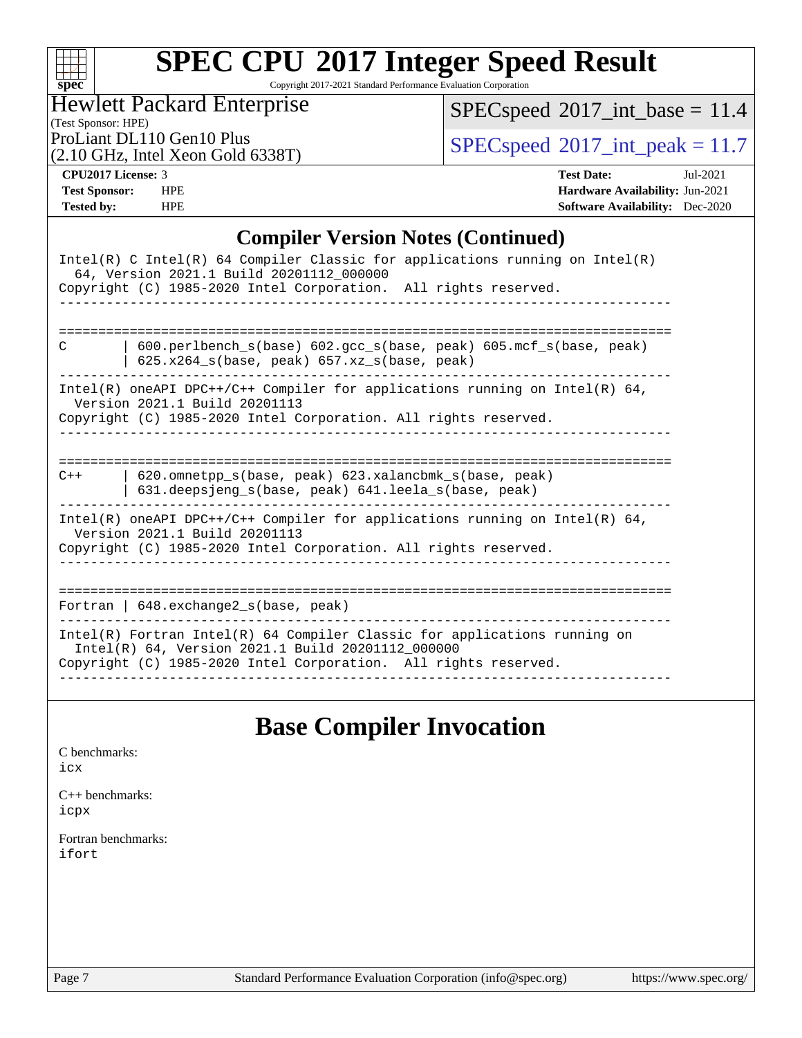| $\mathbf{S}$<br>ı. | Dе | U |  |
|--------------------|----|---|--|

Copyright 2017-2021 Standard Performance Evaluation Corporation

(Test Sponsor: HPE) Hewlett Packard Enterprise

 $SPEC speed$ <sup>®</sup> $2017$ \_int\_base = 11.4

(2.10 GHz, Intel Xeon Gold 6338T)

ProLiant DL110 Gen10 Plus  $SPEC speed@2017\_int\_peak = 11.7$ 

**[CPU2017 License:](http://www.spec.org/auto/cpu2017/Docs/result-fields.html#CPU2017License)** 3 **[Test Date:](http://www.spec.org/auto/cpu2017/Docs/result-fields.html#TestDate)** Jul-2021 **[Test Sponsor:](http://www.spec.org/auto/cpu2017/Docs/result-fields.html#TestSponsor)** HPE **[Hardware Availability:](http://www.spec.org/auto/cpu2017/Docs/result-fields.html#HardwareAvailability)** Jun-2021 **[Tested by:](http://www.spec.org/auto/cpu2017/Docs/result-fields.html#Testedby)** HPE **[Software Availability:](http://www.spec.org/auto/cpu2017/Docs/result-fields.html#SoftwareAvailability)** Dec-2020

### **[Compiler Version Notes \(Continued\)](http://www.spec.org/auto/cpu2017/Docs/result-fields.html#CompilerVersionNotes)**

| Intel(R) C Intel(R) 64 Compiler Classic for applications running on Intel(R)<br>64, Version 2021.1 Build 20201112_000000<br>Copyright (C) 1985-2020 Intel Corporation. All rights reserved.       |
|---------------------------------------------------------------------------------------------------------------------------------------------------------------------------------------------------|
| $600.perlbench_s(base) 602.gcc_s(base, peak) 605.mcf_s(base, peak)$<br>C<br>$625.x264_s(base, peak)$ 657.xz <sub>_S</sub> (base, peak)                                                            |
| Intel(R) oneAPI DPC++/C++ Compiler for applications running on Intel(R) $64$ ,<br>Version 2021.1 Build 20201113<br>Copyright (C) 1985-2020 Intel Corporation. All rights reserved.                |
| 620.omnetpp s(base, peak) 623.xalancbmk s(base, peak)<br>$C++$<br>631.deepsjeng_s(base, peak) 641.leela_s(base, peak)                                                                             |
| Intel(R) oneAPI DPC++/C++ Compiler for applications running on Intel(R) $64$ ,<br>Version 2021.1 Build 20201113<br>Copyright (C) 1985-2020 Intel Corporation. All rights reserved.                |
| Fortran   $648$ . exchange2 $s$ (base, peak)                                                                                                                                                      |
| Intel(R) Fortran Intel(R) 64 Compiler Classic for applications running on<br>Intel(R) 64, Version 2021.1 Build 20201112_000000<br>Copyright (C) 1985-2020 Intel Corporation. All rights reserved. |

## **[Base Compiler Invocation](http://www.spec.org/auto/cpu2017/Docs/result-fields.html#BaseCompilerInvocation)**

[C benchmarks](http://www.spec.org/auto/cpu2017/Docs/result-fields.html#Cbenchmarks): [icx](http://www.spec.org/cpu2017/results/res2021q3/cpu2017-20210705-27772.flags.html#user_CCbase_intel_icx_fe2d28d19ae2a5db7c42fe0f2a2aed77cb715edd4aeb23434404a8be6683fe239869bb6ca8154ca98265c2e3b9226a719a0efe2953a4a7018c379b7010ccf087)

[C++ benchmarks:](http://www.spec.org/auto/cpu2017/Docs/result-fields.html#CXXbenchmarks) [icpx](http://www.spec.org/cpu2017/results/res2021q3/cpu2017-20210705-27772.flags.html#user_CXXbase_intel_icpx_1e918ed14c436bf4b9b7c8bcdd51d4539fc71b3df010bd1e9f8732d9c34c2b2914e48204a846820f3c0ebb4095dea797a5c30b458ac0b6dffac65d78f781f5ca)

[Fortran benchmarks](http://www.spec.org/auto/cpu2017/Docs/result-fields.html#Fortranbenchmarks): [ifort](http://www.spec.org/cpu2017/results/res2021q3/cpu2017-20210705-27772.flags.html#user_FCbase_intel_ifort_8111460550e3ca792625aed983ce982f94888b8b503583aa7ba2b8303487b4d8a21a13e7191a45c5fd58ff318f48f9492884d4413fa793fd88dd292cad7027ca)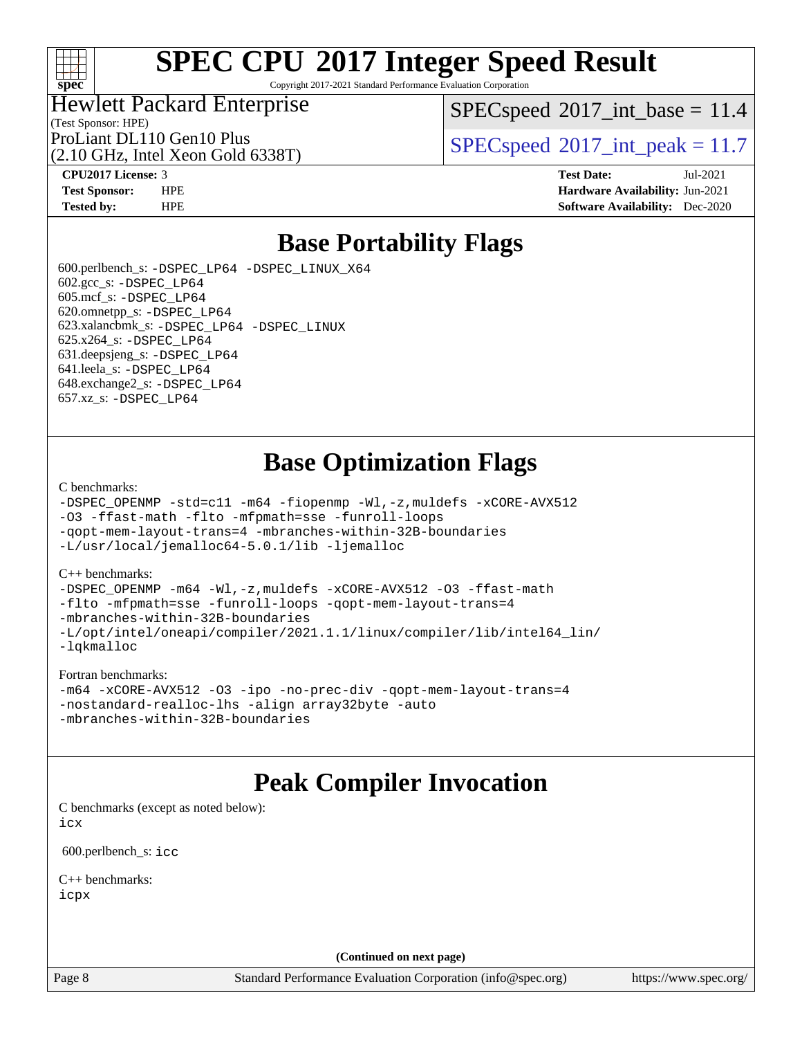

Copyright 2017-2021 Standard Performance Evaluation Corporation

### Hewlett Packard Enterprise

(2.10 GHz, Intel Xeon Gold 6338T)

 $SPECspeed^{\circ}2017\_int\_base = 11.4$  $SPECspeed^{\circ}2017\_int\_base = 11.4$ 

(Test Sponsor: HPE)

ProLiant DL110 Gen10 Plus  $SPECspeed@2017$  $SPECspeed@2017$  int peak = 11.7

**[CPU2017 License:](http://www.spec.org/auto/cpu2017/Docs/result-fields.html#CPU2017License)** 3 **[Test Date:](http://www.spec.org/auto/cpu2017/Docs/result-fields.html#TestDate)** Jul-2021 **[Test Sponsor:](http://www.spec.org/auto/cpu2017/Docs/result-fields.html#TestSponsor)** HPE **[Hardware Availability:](http://www.spec.org/auto/cpu2017/Docs/result-fields.html#HardwareAvailability)** Jun-2021 **[Tested by:](http://www.spec.org/auto/cpu2017/Docs/result-fields.html#Testedby)** HPE **[Software Availability:](http://www.spec.org/auto/cpu2017/Docs/result-fields.html#SoftwareAvailability)** Dec-2020

## **[Base Portability Flags](http://www.spec.org/auto/cpu2017/Docs/result-fields.html#BasePortabilityFlags)**

 600.perlbench\_s: [-DSPEC\\_LP64](http://www.spec.org/cpu2017/results/res2021q3/cpu2017-20210705-27772.flags.html#b600.perlbench_s_basePORTABILITY_DSPEC_LP64) [-DSPEC\\_LINUX\\_X64](http://www.spec.org/cpu2017/results/res2021q3/cpu2017-20210705-27772.flags.html#b600.perlbench_s_baseCPORTABILITY_DSPEC_LINUX_X64)  $602.\text{gcc}\$ s:  $-DSPEC$  LP64 605.mcf\_s: [-DSPEC\\_LP64](http://www.spec.org/cpu2017/results/res2021q3/cpu2017-20210705-27772.flags.html#suite_basePORTABILITY605_mcf_s_DSPEC_LP64) 620.omnetpp\_s: [-DSPEC\\_LP64](http://www.spec.org/cpu2017/results/res2021q3/cpu2017-20210705-27772.flags.html#suite_basePORTABILITY620_omnetpp_s_DSPEC_LP64) 623.xalancbmk\_s: [-DSPEC\\_LP64](http://www.spec.org/cpu2017/results/res2021q3/cpu2017-20210705-27772.flags.html#suite_basePORTABILITY623_xalancbmk_s_DSPEC_LP64) [-DSPEC\\_LINUX](http://www.spec.org/cpu2017/results/res2021q3/cpu2017-20210705-27772.flags.html#b623.xalancbmk_s_baseCXXPORTABILITY_DSPEC_LINUX) 625.x264\_s: [-DSPEC\\_LP64](http://www.spec.org/cpu2017/results/res2021q3/cpu2017-20210705-27772.flags.html#suite_basePORTABILITY625_x264_s_DSPEC_LP64) 631.deepsjeng\_s: [-DSPEC\\_LP64](http://www.spec.org/cpu2017/results/res2021q3/cpu2017-20210705-27772.flags.html#suite_basePORTABILITY631_deepsjeng_s_DSPEC_LP64) 641.leela\_s: [-DSPEC\\_LP64](http://www.spec.org/cpu2017/results/res2021q3/cpu2017-20210705-27772.flags.html#suite_basePORTABILITY641_leela_s_DSPEC_LP64) 648.exchange2\_s: [-DSPEC\\_LP64](http://www.spec.org/cpu2017/results/res2021q3/cpu2017-20210705-27772.flags.html#suite_basePORTABILITY648_exchange2_s_DSPEC_LP64) 657.xz\_s: [-DSPEC\\_LP64](http://www.spec.org/cpu2017/results/res2021q3/cpu2017-20210705-27772.flags.html#suite_basePORTABILITY657_xz_s_DSPEC_LP64)

## **[Base Optimization Flags](http://www.spec.org/auto/cpu2017/Docs/result-fields.html#BaseOptimizationFlags)**

[C benchmarks](http://www.spec.org/auto/cpu2017/Docs/result-fields.html#Cbenchmarks):

```
-DSPEC_OPENMP -std=c11 -m64 -fiopenmp -Wl,-z,muldefs -xCORE-AVX512
-O3 -ffast-math -flto -mfpmath=sse -funroll-loops
-qopt-mem-layout-trans=4 -mbranches-within-32B-boundaries
-L/usr/local/jemalloc64-5.0.1/lib -ljemalloc
```
#### [C++ benchmarks:](http://www.spec.org/auto/cpu2017/Docs/result-fields.html#CXXbenchmarks)

```
-DSPEC_OPENMP-m64-Wl,-z,muldefs-xCORE-AVX512-O3-ffast-math
-flto -mfpmath=sse -funroll-loops -qopt-mem-layout-trans=4
-mbranches-within-32B-boundaries
-L/opt/intel/oneapi/compiler/2021.1.1/linux/compiler/lib/intel64_lin/
-lqkmalloc
```
#### [Fortran benchmarks](http://www.spec.org/auto/cpu2017/Docs/result-fields.html#Fortranbenchmarks):

```
-m64 -xCORE-AVX512 -O3 -ipo -no-prec-div -qopt-mem-layout-trans=4
-nostandard-realloc-lhs -align array32byte -auto
-mbranches-within-32B-boundaries
```
### **[Peak Compiler Invocation](http://www.spec.org/auto/cpu2017/Docs/result-fields.html#PeakCompilerInvocation)**

[C benchmarks \(except as noted below\)](http://www.spec.org/auto/cpu2017/Docs/result-fields.html#Cbenchmarksexceptasnotedbelow): [icx](http://www.spec.org/cpu2017/results/res2021q3/cpu2017-20210705-27772.flags.html#user_CCpeak_intel_icx_fe2d28d19ae2a5db7c42fe0f2a2aed77cb715edd4aeb23434404a8be6683fe239869bb6ca8154ca98265c2e3b9226a719a0efe2953a4a7018c379b7010ccf087)

600.perlbench\_s: [icc](http://www.spec.org/cpu2017/results/res2021q3/cpu2017-20210705-27772.flags.html#user_peakCCLD600_perlbench_s_intel_icc_66fc1ee009f7361af1fbd72ca7dcefbb700085f36577c54f309893dd4ec40d12360134090235512931783d35fd58c0460139e722d5067c5574d8eaf2b3e37e92)

[C++ benchmarks:](http://www.spec.org/auto/cpu2017/Docs/result-fields.html#CXXbenchmarks) [icpx](http://www.spec.org/cpu2017/results/res2021q3/cpu2017-20210705-27772.flags.html#user_CXXpeak_intel_icpx_1e918ed14c436bf4b9b7c8bcdd51d4539fc71b3df010bd1e9f8732d9c34c2b2914e48204a846820f3c0ebb4095dea797a5c30b458ac0b6dffac65d78f781f5ca)

**(Continued on next page)**

Page 8 Standard Performance Evaluation Corporation [\(info@spec.org\)](mailto:info@spec.org) <https://www.spec.org/>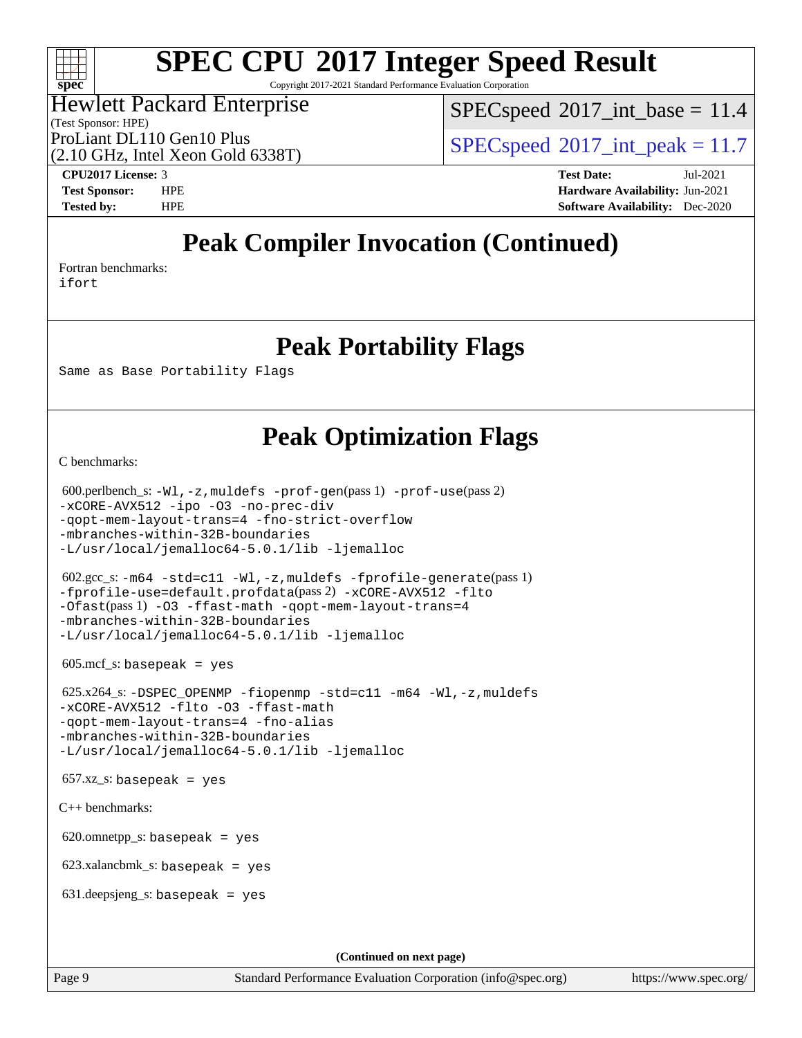### $\pm\pm\prime$ **[spec](http://www.spec.org/)**

# **[SPEC CPU](http://www.spec.org/auto/cpu2017/Docs/result-fields.html#SPECCPU2017IntegerSpeedResult)[2017 Integer Speed Result](http://www.spec.org/auto/cpu2017/Docs/result-fields.html#SPECCPU2017IntegerSpeedResult)**

Copyright 2017-2021 Standard Performance Evaluation Corporation

#### (Test Sponsor: HPE) Hewlett Packard Enterprise

 $SPECspeed^{\circ}2017\_int\_base = 11.4$  $SPECspeed^{\circ}2017\_int\_base = 11.4$ 

(2.10 GHz, Intel Xeon Gold 6338T)

ProLiant DL110 Gen10 Plus  $SPECspeed@2017$  $SPECspeed@2017$  int peak = 11.7

**[CPU2017 License:](http://www.spec.org/auto/cpu2017/Docs/result-fields.html#CPU2017License)** 3 **[Test Date:](http://www.spec.org/auto/cpu2017/Docs/result-fields.html#TestDate)** Jul-2021 **[Test Sponsor:](http://www.spec.org/auto/cpu2017/Docs/result-fields.html#TestSponsor)** HPE **[Hardware Availability:](http://www.spec.org/auto/cpu2017/Docs/result-fields.html#HardwareAvailability)** Jun-2021 **[Tested by:](http://www.spec.org/auto/cpu2017/Docs/result-fields.html#Testedby)** HPE **[Software Availability:](http://www.spec.org/auto/cpu2017/Docs/result-fields.html#SoftwareAvailability)** Dec-2020

## **[Peak Compiler Invocation \(Continued\)](http://www.spec.org/auto/cpu2017/Docs/result-fields.html#PeakCompilerInvocation)**

[Fortran benchmarks](http://www.spec.org/auto/cpu2017/Docs/result-fields.html#Fortranbenchmarks): [ifort](http://www.spec.org/cpu2017/results/res2021q3/cpu2017-20210705-27772.flags.html#user_FCpeak_intel_ifort_8111460550e3ca792625aed983ce982f94888b8b503583aa7ba2b8303487b4d8a21a13e7191a45c5fd58ff318f48f9492884d4413fa793fd88dd292cad7027ca)

**[Peak Portability Flags](http://www.spec.org/auto/cpu2017/Docs/result-fields.html#PeakPortabilityFlags)**

Same as Base Portability Flags

## **[Peak Optimization Flags](http://www.spec.org/auto/cpu2017/Docs/result-fields.html#PeakOptimizationFlags)**

[C benchmarks](http://www.spec.org/auto/cpu2017/Docs/result-fields.html#Cbenchmarks):

```
 600.perlbench_s: -Wl,-z,muldefs -prof-gen(pass 1) -prof-use(pass 2)
-xCORE-AVX512 -ipo -O3 -no-prec-div
-qopt-mem-layout-trans=4 -fno-strict-overflow
-mbranches-within-32B-boundaries
-L/usr/local/jemalloc64-5.0.1/lib -ljemalloc
 602.gcc_s: -m64 -std=c11 -Wl,-z,muldefs -fprofile-generate(pass 1)
-fprofile-use=default.profdata(pass 2) -xCORE-AVX512 -flto
-Ofast(pass 1) -O3 -ffast-math -qopt-mem-layout-trans=4
-mbranches-within-32B-boundaries
-L/usr/local/jemalloc64-5.0.1/lib -ljemalloc
605 \text{.mcf}\text{.s.} basepeak = yes
 625.x264_s: -DSPEC_OPENMP -fiopenmp -std=c11 -m64 -Wl,-z,muldefs
-xCORE-AVX512 -flto -O3 -ffast-math
-qopt-mem-layout-trans=4 -fno-alias
-mbranches-within-32B-boundaries
-L/usr/local/jemalloc64-5.0.1/lib -ljemalloc
657.xz_s: basepeak = yes
C++ benchmarks: 
620.omnetpp_s: basepeak = yes
 623.xalancbmk_s: basepeak = yes
 631.deepsjeng_s: basepeak = yes
                                       (Continued on next page)
```